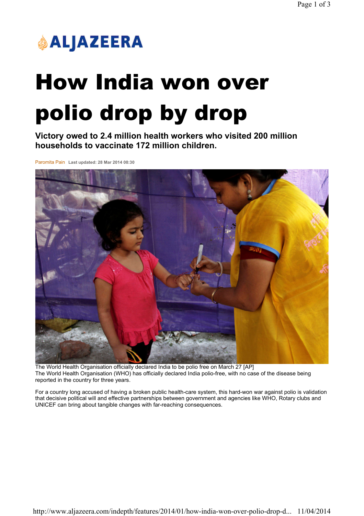

## How India won over polio drop by drop

Victory owed to 2.4 million health workers who visited 200 million households to vaccinate 172 million children.

Paromita Pain Last updated: 28 Mar 2014 08:30



The World Health Organisation officially declared India to be polio free on March 27 [AP] The World Health Organisation (WHO) has officially declared India polio-free, with no case of the disease being reported in the country for three years.

For a country long accused of having a broken public health-care system, this hard-won war against polio is validation that decisive political will and effective partnerships between government and agencies like WHO, Rotary clubs and UNICEF can bring about tangible changes with far-reaching consequences.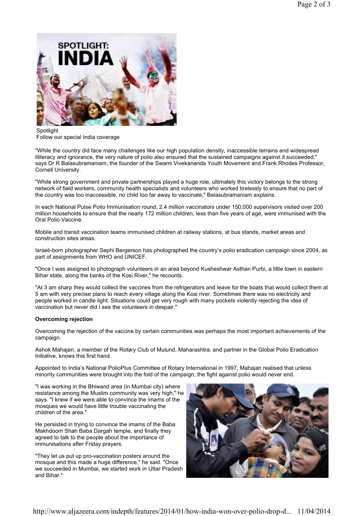

Spotlight Follow our special India coverage

"While the country did face many challenges like our high population density, inaccessible terrains and widespread illiteracy and ignorance, the very nature of polio also ensured that the sustained campaigns against it succeeded," says Dr R Balasubramaniam, the founder of the Swami Vivekananda Youth Movement and Frank Rhodes Professor, Cornell University.

"While strong government and private partnerships played a huge role, ultimately this victory belongs to the strong network of field workers, community health specialists and volunteers who worked tirelessly to ensure that no part of the country was too inaccessible, no child too far away to vaccinate," Balasubramaniam explains.

In each National Pulse Polio Immunisation round, 2.4 million vaccinators under 150,000 supervisors visited over 200 million households to ensure that the nearly 172 million children, less than five years of age, were immunised with the Oral Polio Vaccine.

Mobile and transit vaccination teams immunised children at railway stations, at bus stands, market areas and construction sites areas.

Israeli-born photographer Sephi Bergerson has photographed the country's polio eradication campaign since 2004, as part of assignments from WHO and UNICEF.

"Once I was assigned to photograph volunteers in an area beyond Kusheshwar Asthan Purbi, a little town in eastern Bihar state, along the banks of the Kosi River," he recounts.

"At 3 am sharp they would collect the vaccines from the refrigerators and leave for the boats that would collect them at 5 am with very precise plans to reach every village along the Kosi river. Sometimes there was no electricity and people worked in candle light. Situations could get very rough with many pockets violently rejecting the idea of vaccination but never did I see the volunteers in despair."

## Overcoming rejection

Overcoming the rejection of the vaccine by certain communities was perhaps the most important achievements of the campaign.

Ashok Mahajan, a member of the Rotary Club of Mulund, Maharashtra, and partner in the Global Polio Eradication Initiative, knows this first hand.

Appointed to India's National PolioPlus Committee of Rotary International in 1997, Mahajan realised that unless minority communities were brought into the fold of the campaign, the fight against polio would never end.

"I was working in the Bhiwand area (in Mumbai city) where resistance among the Muslim community was very high," he says. "I knew if we were able to convince the imams of the mosques we would have little trouble vaccinating the children of the area."

He persisted in trying to convince the imams of the Baba Makhdoom Shah Baba Dargah temple, and finally they agreed to talk to the people about the importance of immunisations after Friday prayers.

"They let us put up pro-vaccination posters around the mosque and this made a huge difference," he said. "Once we succeeded in Mumbai, we started work in Uttar Pradesh and Bihar."